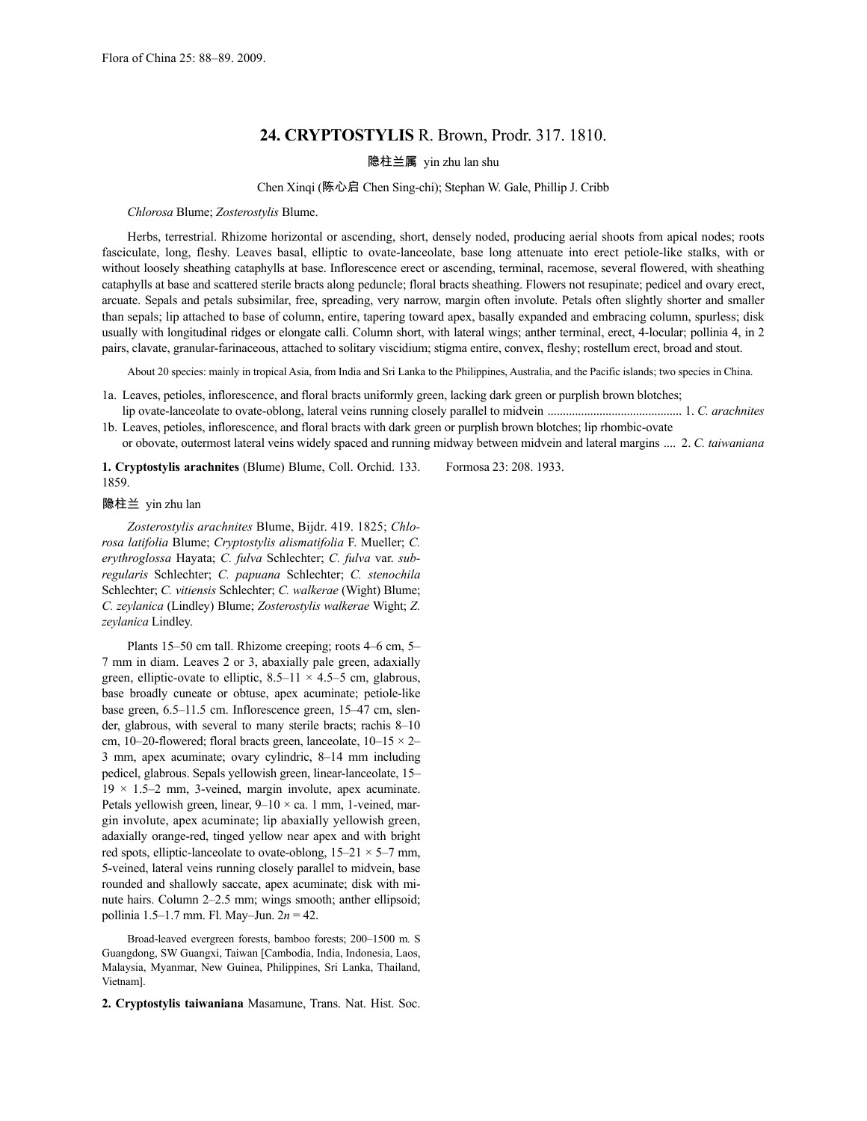# **24. CRYPTOSTYLIS** R. Brown, Prodr. 317. 1810.

## 隐柱兰属 yin zhu lan shu

### Chen Xinqi (陈心启 Chen Sing-chi); Stephan W. Gale, Phillip J. Cribb

*Chlorosa* Blume; *Zosterostylis* Blume.

Herbs, terrestrial. Rhizome horizontal or ascending, short, densely noded, producing aerial shoots from apical nodes; roots fasciculate, long, fleshy. Leaves basal, elliptic to ovate-lanceolate, base long attenuate into erect petiole-like stalks, with or without loosely sheathing cataphylls at base. Inflorescence erect or ascending, terminal, racemose, several flowered, with sheathing cataphylls at base and scattered sterile bracts along peduncle; floral bracts sheathing. Flowers not resupinate; pedicel and ovary erect, arcuate. Sepals and petals subsimilar, free, spreading, very narrow, margin often involute. Petals often slightly shorter and smaller than sepals; lip attached to base of column, entire, tapering toward apex, basally expanded and embracing column, spurless; disk usually with longitudinal ridges or elongate calli. Column short, with lateral wings; anther terminal, erect, 4-locular; pollinia 4, in 2 pairs, clavate, granular-farinaceous, attached to solitary viscidium; stigma entire, convex, fleshy; rostellum erect, broad and stout.

About 20 species: mainly in tropical Asia, from India and Sri Lanka to the Philippines, Australia, and the Pacific islands; two species in China.

- 1a. Leaves, petioles, inflorescence, and floral bracts uniformly green, lacking dark green or purplish brown blotches; lip ovate-lanceolate to ovate-oblong, lateral veins running closely parallel to midvein ............................................ 1. *C. arachnites*
- 1b. Leaves, petioles, inflorescence, and floral bracts with dark green or purplish brown blotches; lip rhombic-ovate or obovate, outermost lateral veins widely spaced and running midway between midvein and lateral margins .... 2. *C. taiwaniana*

**1. Cryptostylis arachnites** (Blume) Blume, Coll. Orchid. 133. 1859.

Formosa 23: 208. 1933.

#### 隐柱兰 yin zhu lan

*Zosterostylis arachnites* Blume, Bijdr. 419. 1825; *Chlorosa latifolia* Blume; *Cryptostylis alismatifolia* F. Mueller; *C. erythroglossa* Hayata; *C. fulva* Schlechter; *C. fulva* var. *subregularis* Schlechter; *C. papuana* Schlechter; *C. stenochila* Schlechter; *C. vitiensis* Schlechter; *C. walkerae* (Wight) Blume; *C. zeylanica* (Lindley) Blume; *Zosterostylis walkerae* Wight; *Z. zeylanica* Lindley.

Plants 15–50 cm tall. Rhizome creeping; roots 4–6 cm, 5– 7 mm in diam. Leaves 2 or 3, abaxially pale green, adaxially green, elliptic-ovate to elliptic,  $8.5-11 \times 4.5-5$  cm, glabrous, base broadly cuneate or obtuse, apex acuminate; petiole-like base green, 6.5–11.5 cm. Inflorescence green, 15–47 cm, slender, glabrous, with several to many sterile bracts; rachis 8–10 cm, 10–20-flowered; floral bracts green, lanceolate,  $10-15 \times 2-$ 3 mm, apex acuminate; ovary cylindric, 8–14 mm including pedicel, glabrous. Sepals yellowish green, linear-lanceolate, 15–  $19 \times 1.5-2$  mm, 3-veined, margin involute, apex acuminate. Petals yellowish green, linear,  $9-10 \times$  ca. 1 mm, 1-veined, margin involute, apex acuminate; lip abaxially yellowish green, adaxially orange-red, tinged yellow near apex and with bright red spots, elliptic-lanceolate to ovate-oblong,  $15-21 \times 5-7$  mm, 5-veined, lateral veins running closely parallel to midvein, base rounded and shallowly saccate, apex acuminate; disk with minute hairs. Column 2–2.5 mm; wings smooth; anther ellipsoid; pollinia 1.5–1.7 mm. Fl. May–Jun. 2*n* = 42.

Broad-leaved evergreen forests, bamboo forests; 200–1500 m. S Guangdong, SW Guangxi, Taiwan [Cambodia, India, Indonesia, Laos, Malaysia, Myanmar, New Guinea, Philippines, Sri Lanka, Thailand, Vietnam].

**2. Cryptostylis taiwaniana** Masamune, Trans. Nat. Hist. Soc.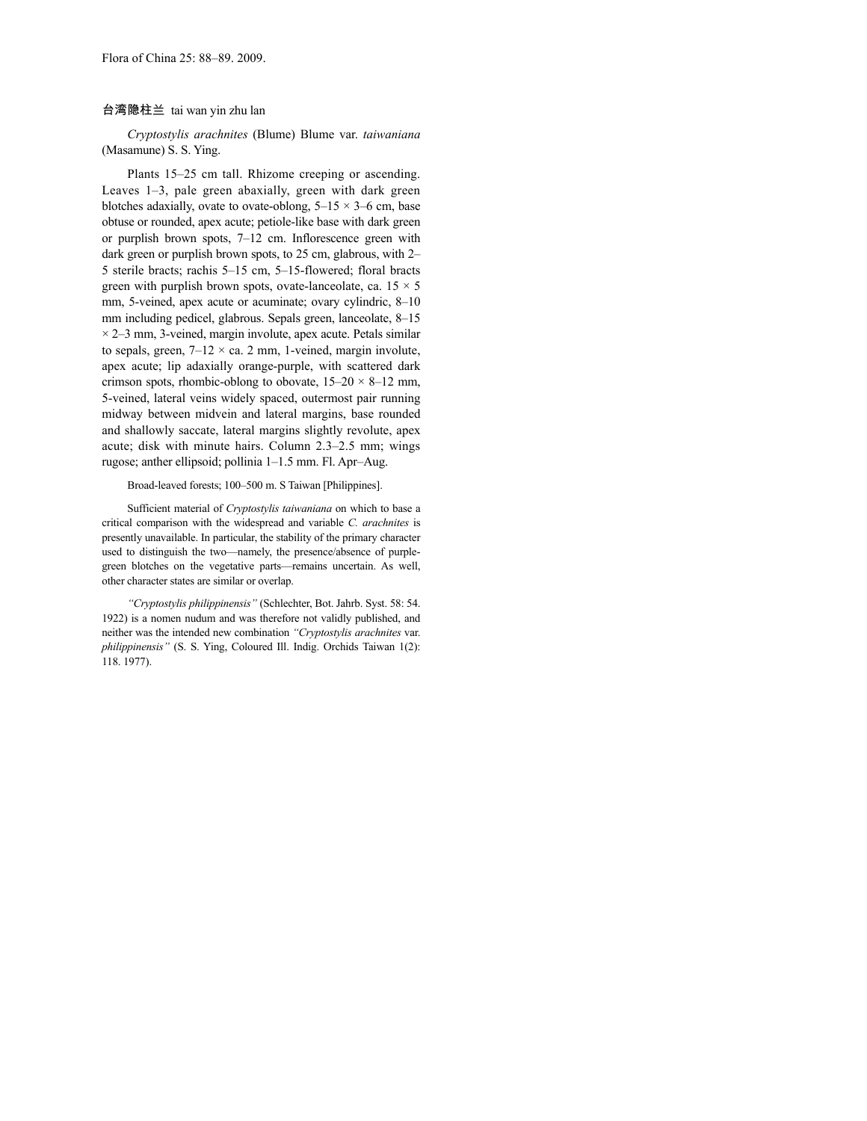### 台湾隐柱兰 tai wan yin zhu lan

*Cryptostylis arachnites* (Blume) Blume var. *taiwaniana* (Masamune) S. S. Ying.

Plants 15–25 cm tall. Rhizome creeping or ascending. Leaves 1–3, pale green abaxially, green with dark green blotches adaxially, ovate to ovate-oblong,  $5-15 \times 3-6$  cm, base obtuse or rounded, apex acute; petiole-like base with dark green or purplish brown spots, 7–12 cm. Inflorescence green with dark green or purplish brown spots, to 25 cm, glabrous, with 2– 5 sterile bracts; rachis 5–15 cm, 5–15-flowered; floral bracts green with purplish brown spots, ovate-lanceolate, ca.  $15 \times 5$ mm, 5-veined, apex acute or acuminate; ovary cylindric, 8–10 mm including pedicel, glabrous. Sepals green, lanceolate, 8–15  $\times$  2–3 mm, 3-veined, margin involute, apex acute. Petals similar to sepals, green,  $7-12 \times$  ca. 2 mm, 1-veined, margin involute, apex acute; lip adaxially orange-purple, with scattered dark crimson spots, rhombic-oblong to obovate,  $15-20 \times 8-12$  mm, 5-veined, lateral veins widely spaced, outermost pair running midway between midvein and lateral margins, base rounded and shallowly saccate, lateral margins slightly revolute, apex acute; disk with minute hairs. Column 2.3–2.5 mm; wings rugose; anther ellipsoid; pollinia 1–1.5 mm. Fl. Apr–Aug.

#### Broad-leaved forests; 100–500 m. S Taiwan [Philippines].

Sufficient material of *Cryptostylis taiwaniana* on which to base a critical comparison with the widespread and variable *C. arachnites* is presently unavailable. In particular, the stability of the primary character used to distinguish the two—namely, the presence/absence of purplegreen blotches on the vegetative parts—remains uncertain. As well, other character states are similar or overlap.

*"Cryptostylis philippinensis"* (Schlechter, Bot. Jahrb. Syst. 58: 54. 1922) is a nomen nudum and was therefore not validly published, and neither was the intended new combination *"Cryptostylis arachnites* var. *philippinensis"* (S. S. Ying, Coloured Ill. Indig. Orchids Taiwan 1(2): 118. 1977).